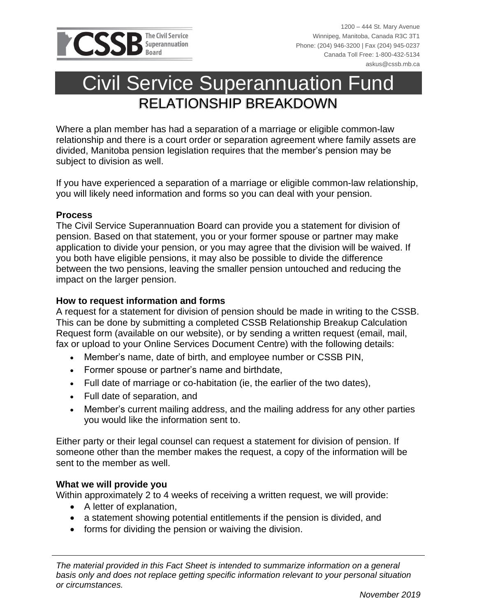

# Civil Service Superannuation Fund RELATIONSHIP BREAKDOWN

Where a plan member has had a separation of a marriage or eligible common-law relationship and there is a court order or separation agreement where family assets are divided, Manitoba pension legislation requires that the member's pension may be subject to division as well.

If you have experienced a separation of a marriage or eligible common-law relationship, you will likely need information and forms so you can deal with your pension.

#### **Process**

The Civil Service Superannuation Board can provide you a statement for division of pension. Based on that statement, you or your former spouse or partner may make application to divide your pension, or you may agree that the division will be waived. If you both have eligible pensions, it may also be possible to divide the difference between the two pensions, leaving the smaller pension untouched and reducing the impact on the larger pension.

## **How to request information and forms**

A request for a statement for division of pension should be made in writing to the CSSB. This can be done by submitting a completed CSSB Relationship Breakup Calculation Request form (available on our website), or by sending a written request (email, mail, fax or upload to your Online Services Document Centre) with the following details:

- Member's name, date of birth, and employee number or CSSB PIN,
- Former spouse or partner's name and birthdate,
- Full date of marriage or co-habitation (ie, the earlier of the two dates),
- Full date of separation, and
- Member's current mailing address, and the mailing address for any other parties you would like the information sent to.

Either party or their legal counsel can request a statement for division of pension. If someone other than the member makes the request, a copy of the information will be sent to the member as well.

#### **What we will provide you**

Within approximately 2 to 4 weeks of receiving a written request, we will provide:

- A letter of explanation,
- a statement showing potential entitlements if the pension is divided, and
- forms for dividing the pension or waiving the division.